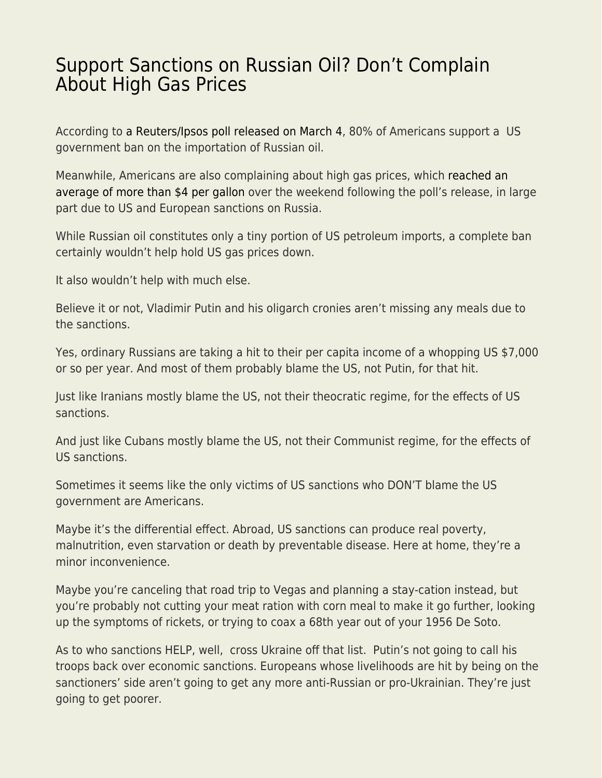## [Support Sanctions on Russian Oil? Don't Complain](https://everything-voluntary.com/support-sanctions-on-russian-oil-dont-complain-about-high-gas-prices) [About High Gas Prices](https://everything-voluntary.com/support-sanctions-on-russian-oil-dont-complain-about-high-gas-prices)

According to [a Reuters/Ipsos poll released on March 4](https://www.reuters.com/world/us/exclusive-americans-broadly-support-ukraine-no-fly-zone-russia-oil-ban-poll-2022-03-04/), 80% of Americans support a US government ban on the importation of Russian oil.

Meanwhile, Americans are also complaining about high gas prices, which [reached an](https://www.nbc15.com/2022/03/06/us-gas-hits-4-nears-all-time-record-gasbuddy-reports/) [average of more than \\$4 per gallon](https://www.nbc15.com/2022/03/06/us-gas-hits-4-nears-all-time-record-gasbuddy-reports/) over the weekend following the poll's release, in large part due to US and European sanctions on Russia.

While Russian oil constitutes only a tiny portion of US petroleum imports, a complete ban certainly wouldn't help hold US gas prices down.

It also wouldn't help with much else.

Believe it or not, Vladimir Putin and his oligarch cronies aren't missing any meals due to the sanctions.

Yes, ordinary Russians are taking a hit to their per capita income of a whopping US \$7,000 or so per year. And most of them probably blame the US, not Putin, for that hit.

Just like Iranians mostly blame the US, not their theocratic regime, for the effects of US sanctions.

And just like Cubans mostly blame the US, not their Communist regime, for the effects of US sanctions.

Sometimes it seems like the only victims of US sanctions who DON'T blame the US government are Americans.

Maybe it's the differential effect. Abroad, US sanctions can produce real poverty, malnutrition, even starvation or death by preventable disease. Here at home, they're a minor inconvenience.

Maybe you're canceling that road trip to Vegas and planning a stay-cation instead, but you're probably not cutting your meat ration with corn meal to make it go further, looking up the symptoms of rickets, or trying to coax a 68th year out of your 1956 De Soto.

As to who sanctions HELP, well, cross Ukraine off that list. Putin's not going to call his troops back over economic sanctions. Europeans whose livelihoods are hit by being on the sanctioners' side aren't going to get any more anti-Russian or pro-Ukrainian. They're just going to get poorer.